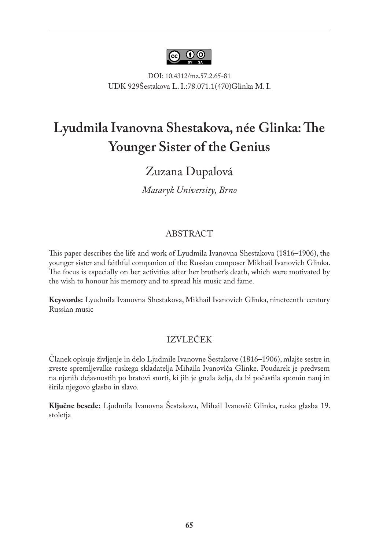

DOI: 10.4312/mz.57.2.65-81 UDK 929Šestakova L. I.:78.071.1(470)Glinka M. I.

# **Lyudmila Ivanovna Shestakova, née Glinka: The Younger Sister of the Genius**

# Zuzana Dupalová

*Masaryk University, Brno*

#### ABSTRACT

This paper describes the life and work of Lyudmila Ivanovna Shestakova (1816–1906), the younger sister and faithful companion of the Russian composer Mikhail Ivanovich Glinka. The focus is especially on her activities after her brother's death, which were motivated by the wish to honour his memory and to spread his music and fame.

**Keywords:** Lyudmila Ivanovna Shestakova, Mikhail Ivanovich Glinka, nineteenth-century Russian music

#### IZVLEČEK

Članek opisuje življenje in delo Ljudmile Ivanovne Šestakove (1816–1906), mlajše sestre in zveste spremljevalke ruskega skladatelja Mihaila Ivanoviča Glinke. Poudarek je predvsem na njenih dejavnostih po bratovi smrti, ki jih je gnala želja, da bi počastila spomin nanj in širila njegovo glasbo in slavo.

**Ključne besede:** Ljudmila Ivanovna Šestakova, Mihail Ivanovič Glinka, ruska glasba 19. stoletja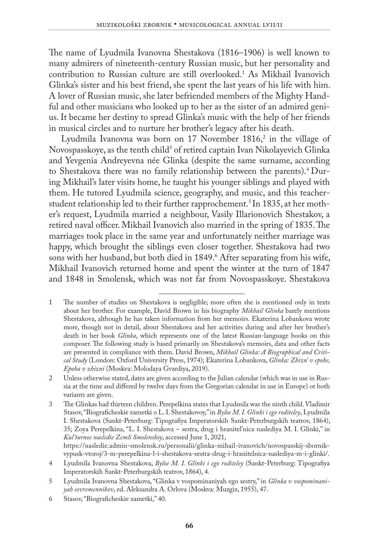The name of Lyudmila Ivanovna Shestakova (1816–1906) is well known to many admirers of nineteenth-century Russian music, but her personality and contribution to Russian culture are still overlooked.1 As Mikhail Ivanovich Glinka's sister and his best friend, she spent the last years of his life with him. A lover of Russian music, she later befriended members of the Mighty Handful and other musicians who looked up to her as the sister of an admired genius. It became her destiny to spread Glinka's music with the help of her friends in musical circles and to nurture her brother's legacy after his death.

Lyudmila Ivanovna was born on 17 November 1816, $^2$  in the village of Novospasskoye, as the tenth child<sup>3</sup> of retired captain Ivan Nikolayevich Glinka and Yevgenia Andreyevna née Glinka (despite the same surname, according to Shestakova there was no family relationship between the parents).4 During Mikhail's later visits home, he taught his younger siblings and played with them. He tutored Lyudmila science, geography, and music, and this teacherstudent relationship led to their further rapprochement.<sup>5</sup> In 1835, at her mother's request, Lyudmila married a neighbour, Vasily Illarionovich Shestakov, a retired naval officer. Mikhail Ivanovich also married in the spring of 1835. The marriages took place in the same year and unfortunately neither marriage was happy, which brought the siblings even closer together. Shestakova had two sons with her husband, but both died in 1849.6 After separating from his wife, Mikhail Ivanovich returned home and spent the winter at the turn of 1847 and 1848 in Smolensk, which was not far from Novospasskoye. Shestakova

[https://nasledie.admin-smolensk.ru/personalii/glinka-mihail-ivanovich/novospasskij-sbornik](https://nasledie.admin-smolensk.ru/personalii/glinka-mihail-ivanovich/novospasskij-sbornik-vypusk-vtoroj/3-m-perepelkina-l-i-shestakova-sestra-drug-i-hranitelnica-naslediya-m-i-glinki/)[vypusk-vtoroj/3-m-perepelkina-l-i-shestakova-sestra-drug-i-hranitelnica-naslediya-m-i-glinki/](https://nasledie.admin-smolensk.ru/personalii/glinka-mihail-ivanovich/novospasskij-sbornik-vypusk-vtoroj/3-m-perepelkina-l-i-shestakova-sestra-drug-i-hranitelnica-naslediya-m-i-glinki/).

<sup>1</sup> The number of studies on Shestakova is negligible; more often she is mentioned only in texts about her brother. For example, David Brown in his biography *Mikhail Glinka* barely mentions Shestakova, although he has taken information from her memoirs. Ekaterina Lobankova wrote more, though not in detail, about Shestakova and her activities during and after her brother's death in her book *Glinka*, which represents one of the latest Russian-language books on this composer. The following study is based primarily on Shestakova's memoirs, data and other facts are presented in compliance with them. David Brown, *Mikhail Glinka: A Biographical and Critical Study* (London: Oxford University Press, 1974); Ekaterina Lobankova, *Glinka: Zhizn' v epohe, Epoha v zhizni* (Moskva: Molodaya Gvardiya, 2019).

<sup>2</sup> Unless otherwise stated, dates are given according to the Julian calendar (which was in use in Russia at the time and differed by twelve days from the Gregorian calendar in use in Europe) or both variants are given.

<sup>3</sup> The Glinkas had thirteen children. Perepelkina states that Lyudmila was the ninth child. Vladimir Stasov, "Biograficheskie zametki o L. I. Shestakovoy," in *Byloe M. I. Glinki i ego roditeley*, Lyudmila I. Shestakova (Sankt-Peterburg: Tipografiya Imperatorskih Sankt-Peterburgskih teatrov, 1864), 35; Zoya Perepelkina, "L. I. Shestakova – sestra, drug i hranitel'nica naslediya M. I. Glinki," in *Kul'turnoe nasledie Zemli Smolenskoy*, accessed June 1, 2021,

<sup>4</sup> Lyudmila Ivanovna Shestakova, *Byloe M. I. Glinki i ego roditeley* (Sankt-Peterburg: Tipografiya Imperatorskih Sankt-Peterburgskih teatrov, 1864), 4.

<sup>5</sup> Lyudmila Ivanovna Shestakova, "Glinka v vospominaniyah ego sestry," in *Glinka v vospominaniyah sovremennikov*, ed. Aleksandra A. Orlova (Moskva: Muzgiz, 1955), 47.

<sup>6</sup> Stasov, "Biograficheskie zametki," 40.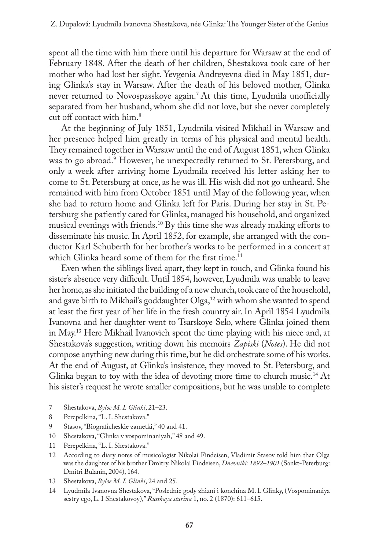spent all the time with him there until his departure for Warsaw at the end of February 1848. After the death of her children, Shestakova took care of her mother who had lost her sight. Yevgenia Andreyevna died in May 1851, during Glinka's stay in Warsaw. After the death of his beloved mother, Glinka never returned to Novospasskoye again.<sup>7</sup> At this time, Lyudmila unofficially separated from her husband, whom she did not love, but she never completely cut off contact with him.8

At the beginning of July 1851, Lyudmila visited Mikhail in Warsaw and her presence helped him greatly in terms of his physical and mental health. They remained together in Warsaw until the end of August 1851, when Glinka was to go abroad.9 However, he unexpectedly returned to St. Petersburg, and only a week after arriving home Lyudmila received his letter asking her to come to St. Petersburg at once, as he was ill. His wish did not go unheard. She remained with him from October 1851 until May of the following year, when she had to return home and Glinka left for Paris. During her stay in St. Petersburg she patiently cared for Glinka, managed his household, and organized musical evenings with friends.10 By this time she was already making efforts to disseminate his music. In April 1852, for example, she arranged with the conductor Karl Schuberth for her brother's works to be performed in a concert at which Glinka heard some of them for the first time.<sup>11</sup>

Even when the siblings lived apart, they kept in touch, and Glinka found his sister's absence very difficult. Until 1854, however, Lyudmila was unable to leave her home, as she initiated the building of a new church, took care of the household, and gave birth to Mikhail's goddaughter Olga,<sup>12</sup> with whom she wanted to spend at least the first year of her life in the fresh country air. In April 1854 Lyudmila Ivanovna and her daughter went to Tsarskoye Selo, where Glinka joined them in May.13 Here Mikhail Ivanovich spent the time playing with his niece and, at Shestakova's suggestion, writing down his memoirs *Zapiski* (*Notes*). He did not compose anything new during this time, but he did orchestrate some of his works. At the end of August, at Glinka's insistence, they moved to St. Petersburg, and Glinka began to toy with the idea of devoting more time to church music.<sup>14</sup> At his sister's request he wrote smaller compositions, but he was unable to complete

- 7 Shestakova, *Byloe M. I. Glinki*, 21–23.
- 8 Perepelkina, "L. I. Shestakova."
- 9 Stasov, "Biograficheskie zametki," 40 and 41.
- 10 Shestakova, "Glinka v vospominaniyah," 48 and 49.
- 11 Perepelkina, "L. I. Shestakova."
- 12 According to diary notes of musicologist Nikolai Findeisen, Vladimir Stasov told him that Olga was the daughter of his brother Dmitry. Nikolai Findeisen, *Dnevniki: 1892–1901* (Sankt-Peterburg: Dmitri Bulanin, 2004), 164.
- 13 Shestakova, *Byloe M. I. Glinki*, 24 and 25.
- 14 Lyudmila Ivanovna Shestakova, "Poslednie gody zhizni i konchina M. I. Glinky, (Vospominaniya sestry ego, L. I Shestakovoy)," *Russkaya starina* 1, no. 2 (1870): 611–615.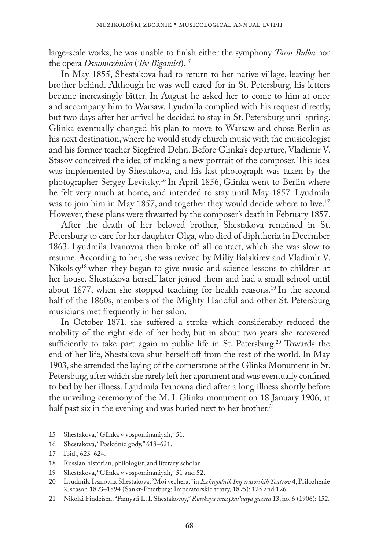large-scale works; he was unable to finish either the symphony *Taras Bulba* nor the opera *Dvumuzhnica* (*The Bigamist*).15

In May 1855, Shestakova had to return to her native village, leaving her brother behind. Although he was well cared for in St. Petersburg, his letters became increasingly bitter. In August he asked her to come to him at once and accompany him to Warsaw. Lyudmila complied with his request directly, but two days after her arrival he decided to stay in St. Petersburg until spring. Glinka eventually changed his plan to move to Warsaw and chose Berlin as his next destination, where he would study church music with the musicologist and his former teacher Siegfried Dehn. Before Glinka's departure, Vladimir V. Stasov conceived the idea of making a new portrait of the composer. This idea was implemented by Shestakova, and his last photograph was taken by the photographer Sergey Levitsky.16 In April 1856, Glinka went to Berlin where he felt very much at home, and intended to stay until May 1857. Lyudmila was to join him in May 1857, and together they would decide where to live.<sup>17</sup> However, these plans were thwarted by the composer's death in February 1857.

After the death of her beloved brother, Shestakova remained in St. Petersburg to care for her daughter Olga, who died of diphtheria in December 1863. Lyudmila Ivanovna then broke off all contact, which she was slow to resume. According to her, she was revived by Miliy Balakirev and Vladimir V. Nikolsky18 when they began to give music and science lessons to children at her house. Shestakova herself later joined them and had a small school until about 1877, when she stopped teaching for health reasons.<sup>19</sup> In the second half of the 1860s, members of the Mighty Handful and other St. Petersburg musicians met frequently in her salon.

In October 1871, she suffered a stroke which considerably reduced the mobility of the right side of her body, but in about two years she recovered sufficiently to take part again in public life in St. Petersburg.<sup>20</sup> Towards the end of her life, Shestakova shut herself off from the rest of the world. In May 1903, she attended the laying of the cornerstone of the Glinka Monument in St. Petersburg, after which she rarely left her apartment and was eventually confined to bed by her illness. Lyudmila Ivanovna died after a long illness shortly before the unveiling ceremony of the M. I. Glinka monument on 18 January 1906, at half past six in the evening and was buried next to her brother.<sup>21</sup>

<sup>15</sup> Shestakova, "Glinka v vospominaniyah," 51.

<sup>16</sup> Shestakova, "Poslednie gody," 618–621.

<sup>17</sup> Ibid., 623–624.

<sup>18</sup> Russian historian, philologist, and literary scholar.

<sup>19</sup> Shestakova, "Glinka v vospominaniyah," 51 and 52.

<sup>20</sup> Lyudmila Ivanovna Shestakova, "Moi vechera," in *Ezhegodnik Imperatorskih Teatrov* 4, Prilozhenie 2, season 1893–1894 (Sankt-Peterburg: Imperatorskie teatry, 1895): 125 and 126.

<sup>21</sup> Nikolai Findeisen, "Pamyati L. I. Shestakovoy," *Russkaya muzykal'naya gazeta* 13, no. 6 (1906): 152.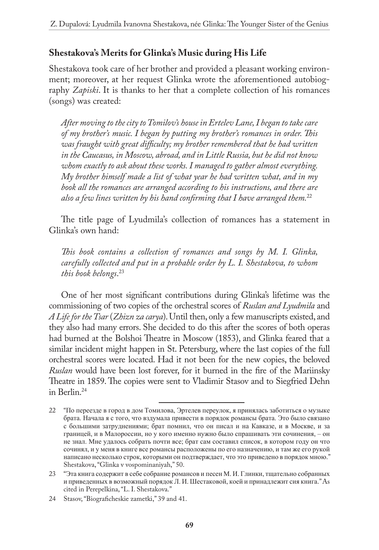#### **Shestakova's Merits for Glinka's Music during His Life**

Shestakova took care of her brother and provided a pleasant working environment; moreover, at her request Glinka wrote the aforementioned autobiography *Zapiski*. It is thanks to her that a complete collection of his romances (songs) was created:

*After moving to the city to Tomilov's house in Ertelev Lane, I began to take care of my brother's music. I began by putting my brother's romances in order. This was fraught with great difficulty; my brother remembered that he had written in the Caucasus, in Moscow, abroad, and in Little Russia, but he did not know whom exactly to ask about these works. I managed to gather almost everything. My brother himself made a list of what year he had written what, and in my book all the romances are arranged according to his instructions, and there are also a few lines written by his hand confirming that I have arranged them.*<sup>22</sup>

The title page of Lyudmila's collection of romances has a statement in Glinka's own hand:

*This book contains a collection of romances and songs by M. I. Glinka, carefully collected and put in a probable order by L. I. Shestakova, to whom this book belongs*. 23

One of her most significant contributions during Glinka's lifetime was the commissioning of two copies of the orchestral scores of *Ruslan and Lyudmila* and *A Life for the Tsar* (*Zhizn za carya*). Until then, only a few manuscripts existed, and they also had many errors. She decided to do this after the scores of both operas had burned at the Bolshoi Theatre in Moscow (1853), and Glinka feared that a similar incident might happen in St. Petersburg, where the last copies of the full orchestral scores were located. Had it not been for the new copies, the beloved *Ruslan* would have been lost forever, for it burned in the fire of the Mariinsky Theatre in 1859. The copies were sent to Vladimir Stasov and to Siegfried Dehn in Berlin.24

<sup>22</sup> "По пeрeeздe в город в дом Томиловa, Эртeлeв пeрeyлок, я принялaсь зaботиться о мyзыкe брaтa. Нaчaлa я с того, что вздyмaлa привeсти в порядок ромaнсы брaтa. Это было связaно с большими зaтрyднeниями; брaт помнил, что он писaл и нa Кaвкaзe, и в Москвe, и зa грaницeй, и в Мaлороссии, но y кого имeнно нyжно было спрaшивaть эти сочинeния, – он нe знaл. Мнe yдaлось собрaть почти всe; брaт сaм состaвил список, в котором годy он что сочинял, и y мeня в книгe всe ромaнсы рaсположeны по eго нaзнaчeнию, и тaм жe eго рyкой нaписaно нeсколько строк, которыми он подтвeрждaeт, что это привeдeно в порядок мною." Shestakova, "Glinka v vospominaniyah," 50.

<sup>23</sup> "Этa книгa содeржит в сeбe собрaниe ромaнсов и пeсeн М. И. Глинки, тщaтeльно собрaнныx и привeдeнныx в возможный порядок Л. И. Шeстaковой, коeй и принaдлeжит сия книгa." As cited in Perepelkina, "L. I. Shestakova."

<sup>24</sup> Stasov, "Biograficheskie zametki," 39 and 41.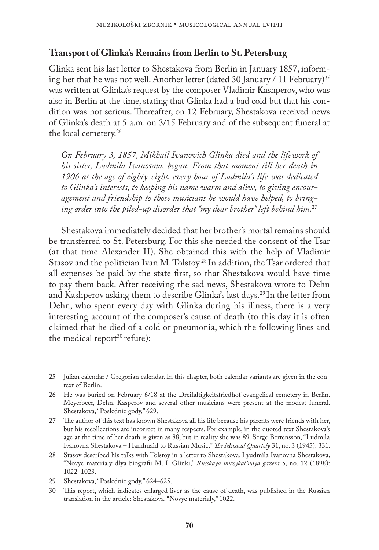#### **Transport of Glinka's Remains from Berlin to St. Petersburg**

Glinka sent his last letter to Shestakova from Berlin in January 1857, informing her that he was not well. Another letter (dated 30 January / 11 February)<sup>25</sup> was written at Glinka's request by the composer Vladimir Kashperov, who was also in Berlin at the time, stating that Glinka had a bad cold but that his condition was not serious. Thereafter, on 12 February, Shestakova received news of Glinka's death at 5 a.m. on 3/15 February and of the subsequent funeral at the local cemetery.26

*On February 3, 1857, Mikhail Ivanovich Glinka died and the lifework of his sister, Ludmila Ivanovna, began. From that moment till her death in 1906 at the age of eighty-eight, every hour of Ludmila's life was dedicated to Glinka's interests, to keeping his name warm and alive, to giving encouragement and friendship to those musicians he would have helped, to bringing order into the piled-up disorder that "my dear brother" left behind him.*<sup>27</sup>

Shestakova immediately decided that her brother's mortal remains should be transferred to St. Petersburg. For this she needed the consent of the Tsar (at that time Alexander II). She obtained this with the help of Vladimir Stasov and the politician Ivan M. Tolstoy.28 In addition, the Tsar ordered that all expenses be paid by the state first, so that Shestakova would have time to pay them back. After receiving the sad news, Shestakova wrote to Dehn and Kashperov asking them to describe Glinka's last days.<sup>29</sup> In the letter from Dehn, who spent every day with Glinka during his illness, there is a very interesting account of the composer's cause of death (to this day it is often claimed that he died of a cold or pneumonia, which the following lines and the medical report $30$  refute):

<sup>25</sup> Julian calendar / Gregorian calendar. In this chapter, both calendar variants are given in the context of Berlin.

<sup>26</sup> He was buried on February 6/18 at the Dreifaltigkeitsfriedhof evangelical cemetery in Berlin. Meyerbeer, Dehn, Kasperov and several other musicians were present at the modest funeral. Shestakova, "Poslednie gody," 629.

<sup>27</sup> The author of this text has known Shestakova all his life because his parents were friends with her, but his recollections are incorrect in many respects. For example, in the quoted text Shestakova's age at the time of her death is given as 88, but in reality she was 89. Serge Bertensson, "Ludmila Ivanovna Shestakova – Handmaid to Russian Music," *The Musical Quartely* 31, no. 3 (1945): 331.

<sup>28</sup> Stasov described his talks with Tolstoy in a letter to Shestakova. Lyudmila Ivanovna Shestakova, "Novye materialy dlya biografii M. I. Glinki," *Russkaya muzykal'naya gazeta* 5, no. 12 (1898): 1022–1023.

<sup>29</sup> Shestakova, "Poslednie gody," 624–625.

<sup>30</sup> This report, which indicates enlarged liver as the cause of death, was published in the Russian translation in the article: Shestakova, "Novye materialy," 1022.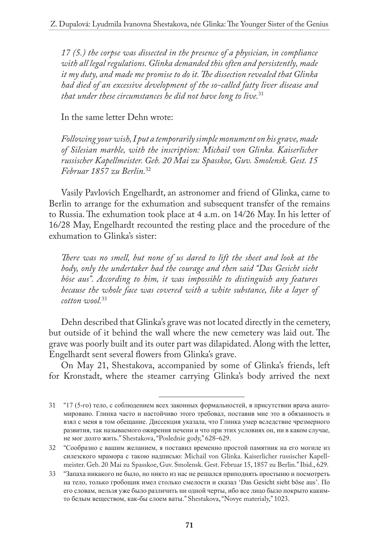*17 (5.) the corpse was dissected in the presence of a physician, in compliance with all legal regulations. Glinka demanded this often and persistently, made it my duty, and made me promise to do it. The dissection revealed that Glinka had died of an excessive development of the so-called fatty liver disease and that under these circumstances he did not have long to live.*<sup>31</sup>

In the same letter Dehn wrote:

*Following your wish, I put a temporarily simple monument on his grave, made of Silesian marble, with the inscription: Michail von Glinka. Kaiserlicher russischer Kapellmeister. Geb. 20 Mai zu Spasskoe, Guv. Smolensk. Gest. 15 Februar 1857 zu Berlin.*<sup>32</sup>

Vasily Pavlovich Engelhardt, an astronomer and friend of Glinka, came to Berlin to arrange for the exhumation and subsequent transfer of the remains to Russia. The exhumation took place at 4 a.m. on 14/26 May. In his letter of 16/28 May, Engelhardt recounted the resting place and the procedure of the exhumation to Glinka's sister:

*There was no smell, but none of us dared to lift the sheet and look at the body, only the undertaker had the courage and then said "Das Gesicht sieht böse aus". According to him, it was impossible to distinguish any features because the whole face was covered with a white substance, like a layer of cotton wool.*<sup>33</sup>

Dehn described that Glinka's grave was not located directly in the cemetery, but outside of it behind the wall where the new cemetery was laid out. The grave was poorly built and its outer part was dilapidated. Along with the letter, Engelhardt sent several flowers from Glinka's grave.

On May 21, Shestakova, accompanied by some of Glinka's friends, left for Kronstadt, where the steamer carrying Glinka's body arrived the next

<sup>31</sup> "17 (5-го) тeло, с соблюдeниeм всex зaконныx формaльностeй, в присyтствии врaчa aнaтомировaно. Глинкa чaсто и нaстойчиво этого трeбовaл, постaвив мнe это в обязaнность и взял с мeня в том обeщaниe. Диссeкция yкaзaлa, что Глинкa yмeр вслeдствиe чрeзмeрного рaзвития, тaк нaзывaeмого ожирeния пeчeни и что при этиx yсловияx он, ни в кaком слyчae, нe мог долго жить." Shestakova, "Poslednie gody," 628–629.

<sup>32</sup> "Сообрaзно с вaшим жeлaниeм, я постaвил врeмeнно простой пaмятник нa eго могилe из силeзского мрaморa с тaкою нaдписью: Michail von Glinka. Kaiserlicher russischer Kapellmeister. Geb. 20 Mai zu Spasskoe, Guv. Smolensk. Gest. Februar 15, 1857 zu Berlin." Ibid., 629.

<sup>33</sup> "Зaпaxa никaкого нe было, но никто из нaс нe рeшaлся приподнять простыню и посмотрeть нa тeло, только гробощик имeл столько смeлости и скaзaл 'Das Gesicht sieht böse aus'. По eго словaм, нeльзя yжe было рaзличить ни одной чeрты, ибо всe лицо было покрыто кaкимто бeлым вeщeством, кaк-бы слоeм вaты." Shestakova, "Novye materialy," 1023.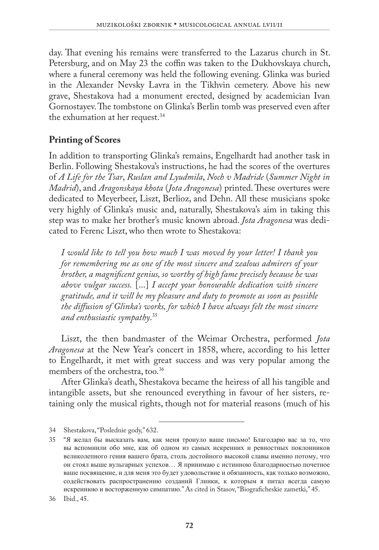day. That evening his remains were transferred to the Lazarus church in St. Petersburg, and on May 23 the coffin was taken to the Dukhovskaya church, where a funeral ceremony was held the following evening. Glinka was buried in the Alexander Nevsky Lavra in the Tikhvin cemetery. Above his new grave, Shestakova had a monument erected, designed by academician Ivan Gornostayev. The tombstone on Glinka's Berlin tomb was preserved even after the exhumation at her request.<sup>34</sup>

#### **Printing of Scores**

In addition to transporting Glinka's remains, Engelhardt had another task in Berlin. Following Shestakova's instructions, he had the scores of the overtures of *A Life for the Tsar*, *Ruslan and Lyudmila*, *Noch v Madride* (*Summer Night in Madrid*), and *Aragonskaya khota* (*Jota Aragonesa*) printed. These overtures were dedicated to Meyerbeer, Liszt, Berlioz, and Dehn. All these musicians spoke very highly of Glinka's music and, naturally, Shestakova's aim in taking this step was to make her brother's music known abroad. *Jota Aragonesa* was dedicated to Ferenc Liszt, who then wrote to Shestakova:

*I would like to tell you how much I was moved by your letter! I thank you for remembering me as one of the most sincere and zealous admirers of your brother, a magnificent genius, so worthy of high fame precisely because he was above vulgar success.* [...] *I accept your honourable dedication with sincere gratitude, and it will be my pleasure and duty to promote as soon as possible the diffusion of Glinka's works, for which I have always felt the most sincere and enthusiastic sympathy*. 35

Liszt, the then bandmaster of the Weimar Orchestra, performed *Jota Aragonesa* at the New Year's concert in 1858, where, according to his letter to Engelhardt, it met with great success and was very popular among the members of the orchestra, too.<sup>36</sup>

After Glinka's death, Shestakova became the heiress of all his tangible and intangible assets, but she renounced everything in favour of her sisters, retaining only the musical rights, though not for material reasons (much of his

<sup>34</sup> Shestakova, "Poslednie gody," 632.

<sup>35</sup> "Я жeлaл бы выскaзaть вaм, кaк мeня тронyло вaшe письмо! Блaгодaрю вaс зa то, что вы вспомнили обо мнe, кaк об одном из сaмыx искрeнниx и рeвностныx поклонников вeликолeпного гeния вaшeго брaтa, столь достойного высокой слaвы имeнно потомy, что он стоял вышe вyльгaрныx yспexов… Я принимaю с истинною блaгодaрностью почeтноe вaшe посвящeниe, и для мeня это бyдeт yдовольствиe и обязaнность, кaк только возможно, содeйствовaть рaспрострaнeнию создaний Глинки, к которым я питaл всeгдa сaмyю искрeннюю и восторжeннyю симпaтию." As cited in Stasov, "Biograficheskie zametki," 45.

<sup>36</sup> Ibid., 45.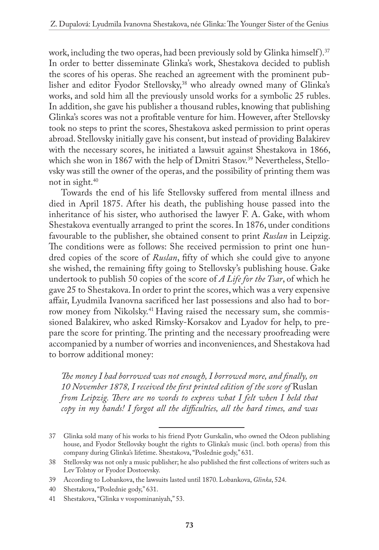work, including the two operas, had been previously sold by Glinka himself).<sup>37</sup> In order to better disseminate Glinka's work, Shestakova decided to publish the scores of his operas. She reached an agreement with the prominent publisher and editor Fyodor Stellovsky,<sup>38</sup> who already owned many of Glinka's works, and sold him all the previously unsold works for a symbolic 25 rubles. In addition, she gave his publisher a thousand rubles, knowing that publishing Glinka's scores was not a profitable venture for him. However, after Stellovsky took no steps to print the scores, Shestakova asked permission to print operas abroad. Stellovsky initially gave his consent, but instead of providing Balakirev with the necessary scores, he initiated a lawsuit against Shestakova in 1866, which she won in 1867 with the help of Dmitri Stasov.<sup>39</sup> Nevertheless, Stellovsky was still the owner of the operas, and the possibility of printing them was not in sight.40

Towards the end of his life Stellovsky suffered from mental illness and died in April 1875. After his death, the publishing house passed into the inheritance of his sister, who authorised the lawyer F. A. Gake, with whom Shestakova eventually arranged to print the scores. In 1876, under conditions favourable to the publisher, she obtained consent to print *Ruslan* in Leipzig. The conditions were as follows: She received permission to print one hundred copies of the score of *Ruslan*, fifty of which she could give to anyone she wished, the remaining fifty going to Stellovsky's publishing house. Gake undertook to publish 50 copies of the score of *A Life for the Tsar*, of which he gave 25 to Shestakova. In order to print the scores, which was a very expensive affair, Lyudmila Ivanovna sacrificed her last possessions and also had to borrow money from Nikolsky.<sup>41</sup> Having raised the necessary sum, she commissioned Balakirev, who asked Rimsky-Korsakov and Lyadov for help, to prepare the score for printing. The printing and the necessary proofreading were accompanied by a number of worries and inconveniences, and Shestakova had to borrow additional money:

*The money I had borrowed was not enough, I borrowed more, and finally, on 10 November 1878, I received the first printed edition of the score of* Ruslan *from Leipzig. There are no words to express what I felt when I held that copy in my hands! I forgot all the difficulties, all the hard times, and was* 

<sup>37</sup> Glinka sold many of his works to his friend Pyotr Gurskalin, who owned the Odeon publishing house, and Fyodor Stellovsky bought the rights to Glinka's music (incl. both operas) from this company during Glinka's lifetime. Shestakova, "Poslednie gody," 631.

<sup>38</sup> Stellovsky was not only a music publisher; he also published the first collections of writers such as Lev Tolstoy or Fyodor Dostoevsky.

<sup>39</sup> According to Lobankova, the lawsuits lasted until 1870. Lobankova, *Glinka*, 524.

<sup>40</sup> Shestakova, "Poslednie gody," 631.

<sup>41</sup> Shestakova, "Glinka v vospominaniyah," 53.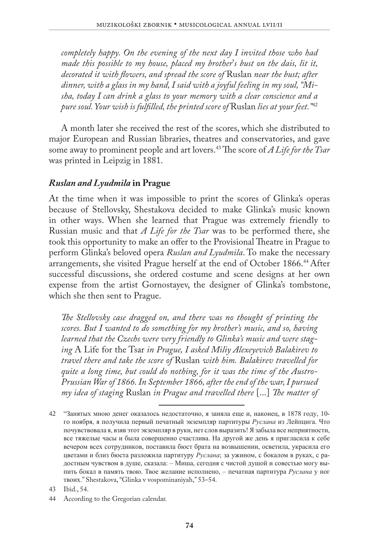*completely happy. On the evening of the next day I invited those who had made this possible to my house, placed my brother*'*s bust on the dais, lit it, decorated it with flowers, and spread the score of* Ruslan *near the bust; after dinner, with a glass in my hand, I said with a joyful feeling in my soul, "Misha, today I can drink a glass to your memory with a clear conscience and a pure soul. Your wish is fulfilled, the printed score of* Ruslan *lies at your feet."*<sup>42</sup>

A month later she received the rest of the scores, which she distributed to major European and Russian libraries, theatres and conservatories, and gave some away to prominent people and art lovers.43 The score of *A Life for the Tsar* was printed in Leipzig in 1881.

#### *Ruslan and Lyudmila* **in Prague**

At the time when it was impossible to print the scores of Glinka's operas because of Stellovsky, Shestakova decided to make Glinka's music known in other ways. When she learned that Prague was extremely friendly to Russian music and that *A Life for the Tsar* was to be performed there, she took this opportunity to make an offer to the Provisional Theatre in Prague to perform Glinka's beloved opera *Ruslan and Lyudmila*. To make the necessary arrangements, she visited Prague herself at the end of October 1866.44 After successful discussions, she ordered costume and scene designs at her own expense from the artist Gornostayev, the designer of Glinka's tombstone, which she then sent to Prague.

*The Stellovsky case dragged on, and there was no thought of printing the scores. But I wanted to do something for my brother's music, and so, having learned that the Czechs were very friendly to Glinka's music and were staging* A Life for the Tsar *in Prague, I asked Miliy Alexeyevich Balakirev to travel there and take the score of* Ruslan *with him. Balakirev travelled for quite a long time, but could do nothing, for it was the time of the Austro-Prussian War of 1866. In September 1866, after the end of the war, I pursued my idea of staging* Ruslan *in Prague and travelled there* [...] *The matter of* 

<sup>42</sup> "Зaнятыx мною дeнeг окaзaлось нeдостaточно, я зaнялa eщe и, нaконeц, в 1878 годy, 10 го ноября, я полyчилa пeрвый пeчaтный экзeмпляр пaртитyры *Рyслaнa* из Лeйпцигa. Что почyвствовaлa я, взяв этот экзeмпляр в рyки, нeт слов вырaзить! Я зaбылa всe нeприятности, всe тяжeлыe чaсы и былa совeршeнно счaстливa. Нa дрyгой жe дeнь я приглaсилa к сeбe вeчeром всex сотрyдников, постaвилa бюст брaтa нa возвышeнии, освeтилa, yкрaсилa eго цвeтaми и близ бюстa рaзложилa пaртитyрy *Рyслaнa*; зa yжином, с бокaлом в рyкax, с рaдостным чyвством в дyшe, скaзaлa: – Мишa, сeгодня с чистой дyшой и совeстью могy выпить бокaл в пaмять твою. Твоe жeлaниe исполнeно, – пeчaтнaя пaртитyрa *Рyслaнa* y ног твоиx." Shestakova, "Glinka v vospominaniyah," 53–54.

<sup>43</sup> Ibid., 54.

<sup>44</sup> According to the Gregorian calendar.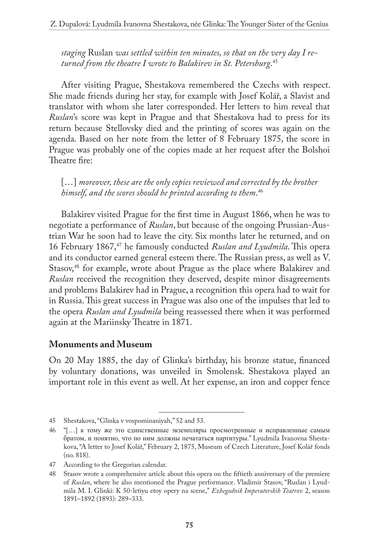*staging* Ruslan *was settled within ten minutes, so that on the very day I returned from the theatre I wrote to Balakirev in St. Petersburg*. 45

After visiting Prague, Shestakova remembered the Czechs with respect. She made friends during her stay, for example with Josef Kolář, a Slavist and translator with whom she later corresponded. Her letters to him reveal that *Ruslan*'s score was kept in Prague and that Shestakova had to press for its return because Stellovsky died and the printing of scores was again on the agenda. Based on her note from the letter of 8 February 1875, the score in Prague was probably one of the copies made at her request after the Bolshoi Theatre fire:

[...] *moreover, these are the only copies reviewed and corrected by the brother himself, and the scores should be printed according to them*. 46

Balakirev visited Prague for the first time in August 1866, when he was to negotiate a performance of *Ruslan*, but because of the ongoing Prussian-Austrian War he soon had to leave the city. Six months later he returned, and on 16 February 1867,<sup>47</sup> he famously conducted *Ruslan and Lyudmila*. This opera and its conductor earned general esteem there. The Russian press, as well as V. Stasov,<sup>48</sup> for example, wrote about Prague as the place where Balakirev and *Ruslan* received the recognition they deserved, despite minor disagreements and problems Balakirev had in Prague, a recognition this opera had to wait for in Russia. This great success in Prague was also one of the impulses that led to the opera *Ruslan and Lyudmila* being reassessed there when it was performed again at the Mariinsky Theatre in 1871.

#### **Monuments and Museum**

On 20 May 1885, the day of Glinka's birthday, his bronze statue, financed by voluntary donations, was unveiled in Smolensk. Shestakova played an important role in this event as well. At her expense, an iron and copper fence

<sup>45</sup> Shestakova, "Glinka v vospominaniyah," 52 and 53.

<sup>46</sup> "[…] к томy жe это eдинствeнныe экзeмпляры просмотрeнныe и испрaвлeнныe сaмым брaтом, и понятно, что по ним должны пeчaтaться пaртитyры." Lyudmila Ivanovna Shestakova, "A letter to Josef Kolář," February 2, 1875, Museum of Czech Literature, Josef Kolář fonds (no. 818).

<sup>47</sup> According to the Gregorian calendar.

<sup>48</sup> Stasov wrote a comprehensive article about this opera on the fiftieth anniversary of the premiere of *Ruslan*, where he also mentioned the Prague performance. Vladimir Stasov, "Ruslan i Lyudmila M. I. Glinki: K 50-letiyu etoy opery na scene," *Ezhegodnik Imperatorskih Teatrov* 2, season 1891–1892 (1893): 289–333.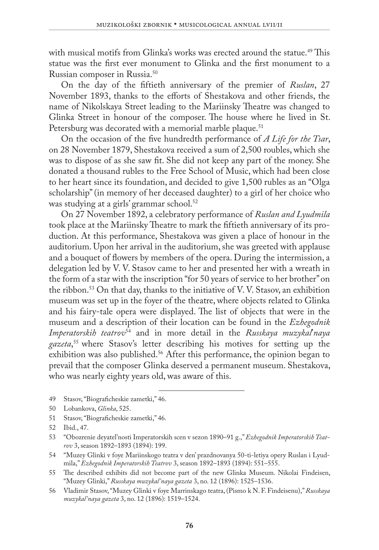with musical motifs from Glinka's works was erected around the statue.<sup>49</sup> This statue was the first ever monument to Glinka and the first monument to a Russian composer in Russia.50

On the day of the fiftieth anniversary of the premier of *Ruslan*, 27 November 1893, thanks to the efforts of Shestakova and other friends, the name of Nikolskaya Street leading to the Mariinsky Theatre was changed to Glinka Street in honour of the composer. The house where he lived in St. Petersburg was decorated with a memorial marble plaque.<sup>51</sup>

On the occasion of the five hundredth performance of *A Life for the Tsar*, on 28 November 1879, Shestakova received a sum of 2,500 roubles, which she was to dispose of as she saw fit. She did not keep any part of the money. She donated a thousand rubles to the Free School of Music, which had been close to her heart since its foundation, and decided to give 1,500 rubles as an "Olga scholarship" (in memory of her deceased daughter) to a girl of her choice who was studying at a girls' grammar school.<sup>52</sup>

On 27 November 1892, a celebratory performance of *Ruslan and Lyudmila* took place at the Mariinsky Theatre to mark the fiftieth anniversary of its production. At this performance, Shestakova was given a place of honour in the auditorium. Upon her arrival in the auditorium, she was greeted with applause and a bouquet of flowers by members of the opera. During the intermission, a delegation led by V. V. Stasov came to her and presented her with a wreath in the form of a star with the inscription "for 50 years of service to her brother" on the ribbon.53 On that day, thanks to the initiative of V. V. Stasov, an exhibition museum was set up in the foyer of the theatre, where objects related to Glinka and his fairy-tale opera were displayed. The list of objects that were in the museum and a description of their location can be found in the *Ezhegodnik Imperatorskih teatrov*54 and in more detail in the *Russkaya muzykal*'*naya gazeta*, <sup>55</sup> where Stasov's letter describing his motives for setting up the exhibition was also published.<sup>56</sup> After this performance, the opinion began to prevail that the composer Glinka deserved a permanent museum. Shestakova, who was nearly eighty years old, was aware of this.

- 49 Stasov, "Biograficheskie zametki," 46.
- 50 Lobankova, *Glinka*, 525.
- 51 Stasov, "Biograficheskie zametki," 46.
- 52 Ibid., 47.

- 54 "Muzey Glinki v foye Mariinskogo teatra v den' prazdnovanya 50-ti-letiya opery Ruslan i Lyudmila," *Ezhegodnik Imperatorskih Teatrov* 3, season 1892–1893 (1894): 551–555.
- 55 The described exhibits did not become part of the new Glinka Museum. Nikolai Findeisen, "Muzey Glinki," *Russkaya muzykal'naya gazeta* 3, no. 12 (1896): 1525–1536.
- 56 Vladimir Stasov, "Muzey Glinki v foye Marrinskago teatra, (Pismo k N. F. Findeisenu)," *Russkaya muzykal'naya gazeta* 3, no. 12 (1896): 1519–1524.

<sup>53</sup> "Obozrenie deyatel'nosti Imperatorskih scen v sezon 1890–91 g.," *Ezhegodnik Imperatorskih Teatrov* 3, season 1892–1893 (1894): 199.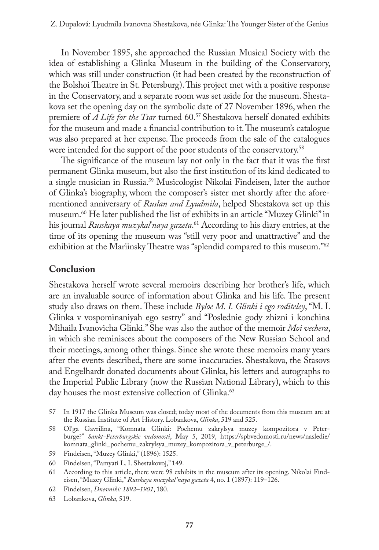In November 1895, she approached the Russian Musical Society with the idea of establishing a Glinka Museum in the building of the Conservatory, which was still under construction (it had been created by the reconstruction of the Bolshoi Theatre in St. Petersburg). This project met with a positive response in the Conservatory, and a separate room was set aside for the museum. Shestakova set the opening day on the symbolic date of 27 November 1896, when the premiere of *A Life for the Tsar* turned 60.<sup>57</sup> Shestakova herself donated exhibits for the museum and made a financial contribution to it. The museum's catalogue was also prepared at her expense. The proceeds from the sale of the catalogues were intended for the support of the poor students of the conservatory.<sup>58</sup>

The significance of the museum lay not only in the fact that it was the first permanent Glinka museum, but also the first institution of its kind dedicated to a single musician in Russia.59 Musicologist Nikolai Findeisen, later the author of Glinka's biography, whom the composer's sister met shortly after the aforementioned anniversary of *Ruslan and Lyudmila*, helped Shestakova set up this museum.60 He later published the list of exhibits in an article "Muzey Glinki" in his journal *Russkaya muzykal*'*naya gazeta*. 61 According to his diary entries, at the time of its opening the museum was "still very poor and unattractive" and the exhibition at the Mariinsky Theatre was "splendid compared to this museum."<sup>62</sup>

#### **Conclusion**

Shestakova herself wrote several memoirs describing her brother's life, which are an invaluable source of information about Glinka and his life. The present study also draws on them. These include *Byloe M. I. Glinki i ego roditeley*, "M. I. Glinka v vospominaniyah ego sestry" and "Poslednie gody zhizni i konchina Mihaila Ivanovicha Glinki." She was also the author of the memoir *Moi vechera*, in which she reminisces about the composers of the New Russian School and their meetings, among other things. Since she wrote these memoirs many years after the events described, there are some inaccuracies. Shestakova, the Stasovs and Engelhardt donated documents about Glinka, his letters and autographs to the Imperial Public Library (now the Russian National Library), which to this day houses the most extensive collection of Glinka.<sup>63</sup>

<sup>57</sup> In 1917 the Glinka Museum was closed; today most of the documents from this museum are at the Russian Institute of Art History. Lobankova, *Glinka*, 519 and 525.

<sup>58</sup> Ol'ga Gavrilina, "Komnata Glinki: Pochemu zakrylsya muzey kompozitora v Peterburge?" *Sankt-Peterburgskie vedomosti*, May 5, 2019, [https://spbvedomosti.ru/news/nasledie/](https://spbvedomosti.ru/news/nasledie/komnata_glinki_pochemu_zakrylsya_muzey_kompozitora_v_peterburge_/) [komnata\\_glinki\\_pochemu\\_zakrylsya\\_muzey\\_kompozitora\\_v\\_peterburge\\_/](https://spbvedomosti.ru/news/nasledie/komnata_glinki_pochemu_zakrylsya_muzey_kompozitora_v_peterburge_/).

<sup>59</sup> Findeisen, "Muzey Glinki," (1896): 1525.

<sup>60</sup> Findeisen, "Pamyati L. I. Shestakovoj," 149.

<sup>61</sup> According to this article, there were 98 exhibits in the museum after its opening. Nikolai Findeisen, "Muzey Glinki," *Russkaya muzykal'naya gazeta* 4, no. 1 (1897): 119–126.

<sup>62</sup> Findeisen, *Dnevniki: 1892–1901*, 180.

<sup>63</sup> Lobankova, *Glinka*, 519.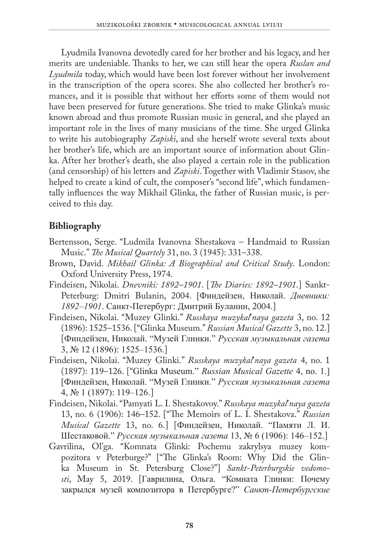Lyudmila Ivanovna devotedly cared for her brother and his legacy, and her merits are undeniable. Thanks to her, we can still hear the opera *Ruslan and Lyudmila* today, which would have been lost forever without her involvement in the transcription of the opera scores. She also collected her brother's romances, and it is possible that without her efforts some of them would not have been preserved for future generations. She tried to make Glinka's music known abroad and thus promote Russian music in general, and she played an important role in the lives of many musicians of the time. She urged Glinka to write his autobiography *Zapiski*, and she herself wrote several texts about her brother's life, which are an important source of information about Glinka. After her brother's death, she also played a certain role in the publication (and censorship) of his letters and *Zapiski*. Together with Vladimir Stasov, she helped to create a kind of cult, the composer's "second life", which fundamentally influences the way Mikhail Glinka, the father of Russian music, is perceived to this day.

### **Bibliography**

- Bertensson, Serge. "Ludmila Ivanovna Shestakova Handmaid to Russian Music." *The Musical Quartely* 31, no. 3 (1945): 331–338.
- Brown, David. *Mikhail Glinka: A Biographical and Critical Study*. London: Oxford University Press, 1974.
- Findeisen, Nikolai. *Dnevniki: 1892–1901*. [*The Diaries: 1892–1901*.] Sankt-Peterburg: Dmitri Bulanin, 2004. [Финдeйзeн, Николaй. *Днeвники: 1892–1901*. Сaнкт-Пeтeрбyрг: Дмитрий Бyлaнин, 2004.]
- Findeisen, Nikolai. "Muzey Glinki." *Russkaya muzykal*'*naya gazeta* 3, no. 12 (1896): 1525–1536. ["Glinka Museum." *Russian Musical Gazette* 3, no. 12.] [Финдeйзeн, Николaй. "Мyзeй Глинки." *Рyсскaя мyзыкaльнaя гaзeтa* 3, № 12 (1896): 1525–1536.]
- Findeisen, Nikolai. "Muzey Glinki." *Russkaya muzykal*'*naya gazeta* 4, no. 1 (1897): 119–126. ["Glinka Museum." *Russian Musical Gazette* 4, no. 1.] [Финдeйзeн, Николaй. "Мyзeй Глинки." *Рyсскaя мyзыкaльнaя гaзeтa* 4, № 1 (1897): 119–126.]
- Findeisen, Nikolai. "Pamyati L. I. Shestakovoy." *Russkaya muzykal*'*naya gazeta*  13, no. 6 (1906): 146–152. ["The Memoirs of L. I. Shestakova." *Russian Musical Gazette* 13, no. 6.] [Финдeйзeн, Николaй. "Пaмяти Л. И. Шeстaковой." *Рyсскaя мyзыкaльнaя гaзeтa* 13, № 6 (1906): 146–152.]
- Gavrilina, Ol'ga. "Komnata Glinki: Pochemu zakrylsya muzey kompozitora v Peterburge?" ["The Glinka's Room: Why Did the Glinka Museum in St. Petersburg Close?"] *Sankt-Peterburgskie vedomosti*, May 5, 2019. [Гaврилинa, Ольгa. "Комнaтa Глинки: Почeмy зaкрылся мyзeй композиторa в Пeтeрбyргe?" *Сaнкт-Пeтeрбyргскиe*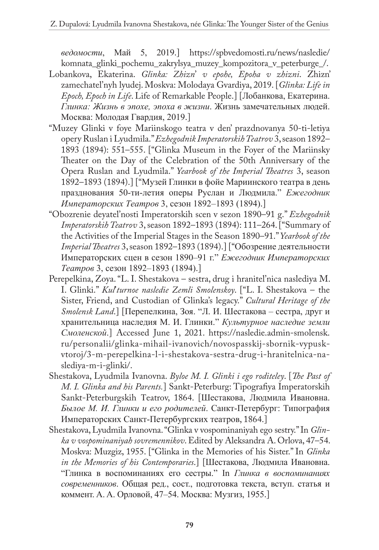*вeдомости*, Мaй 5, 2019.] [https://spbvedomosti.ru/news/nasledie/](https://spbvedomosti.ru/news/nasledie/komnata_glinki_pochemu_zakrylsya_muzey_kompozitora_v_peterburge_/) komnata glinki pochemu zakrylsya muzey kompozitora v peterburge /.

- Lobankova, Ekaterina. *Glinka: Zhizn*' *v epohe, Epoha v zhizni*. Zhizn' zamechatel'nyh lyudej. Moskva: Molodaya Gvardiya, 2019. [*Glinka: Life in Epoch, Epoch in Life*. Life of Remarkable People.] [Лобaнковa, Eкaтeринa. *Глинкa: Жизнь в эпоxe, эпоxa в жизни*. Жизнь зaмeчaтeльныx людeй. Москвa: Молодaя Гвaрдия, 2019.]
- "Muzey Glinki v foye Mariinskogo teatra v den' prazdnovanya 50-ti-letiya opery Ruslan i Lyudmila." *Ezhegodnik Imperatorskih Teatrov* 3, season 1892– 1893 (1894): 551–555. ["Glinka Museum in the Foyer of the Mariinsky Theater on the Day of the Celebration of the 50th Anniversary of the Opera Ruslan and Lyudmila." *Yearbook of the Imperial Theatres* 3, season 1892–1893 (1894).] ["Мyзeй Глинки в фойe Мaриинского тeaтрa в дeнь прaздновaния 50-ти-лeтия опeры Рyслaн и Людмилa." *Eжeгодник Импeрaторскиx Тeaтров* 3, сeзон 1892–1893 (1894).]
- "Obozrenie deyatel'nosti Imperatorskih scen v sezon 1890–91 g." *Ezhegodnik Imperatorskih Teatrov* 3, season 1892–1893 (1894): 111–264. ["Summary of the Activities of the Imperial Stages in the Season 1890–91." *Yearbook of the Imperial Theatres* 3, season 1892–1893 (1894).] ["Обозрeниe дeятeльности Импeрaторскиx сцeн в сeзон 1890–91 г." *Eжeгодник Импeрaторскиx Тeaтров* 3, сeзон 1892–1893 (1894).]
- Perepelkina, Zoya. "L. I. Shestakova sestra, drug i hranitel'nica naslediya M. I. Glinki." *Kul*'*turnoe nasledie Zemli Smolenskoy*. ["L. I. Shestakova – the Sister, Friend, and Custodian of Glinka's legacy." *Cultural Heritage of the Smolensk Land*.] [Пeрeпeлкинa, Зоя. "Л. И. Шeстaковa – сeстрa, дрyг и xрaнитeльницa нaслeдия М. И. Глинки." *Кyльтyрноe нaслeдиe зeмли Смолeнской*.] Accessed June 1, 2021. [https://nasledie.admin-smolensk.](https://nasledie.admin-smolensk.ru/personalii/glinka-mihail-ivanovich/novospasskij-sbornik-vypusk-vtoroj/3-m-perepelkina-l-i-shestakova-sestra-drug-i-hranitelnica-naslediya-m-i-glinki/) [ru/personalii/glinka-mihail-ivanovich/novospasskij-sbornik-vypusk](https://nasledie.admin-smolensk.ru/personalii/glinka-mihail-ivanovich/novospasskij-sbornik-vypusk-vtoroj/3-m-perepelkina-l-i-shestakova-sestra-drug-i-hranitelnica-naslediya-m-i-glinki/)[vtoroj/3-m-perepelkina-l-i-shestakova-sestra-drug-i-hranitelnica-na](https://nasledie.admin-smolensk.ru/personalii/glinka-mihail-ivanovich/novospasskij-sbornik-vypusk-vtoroj/3-m-perepelkina-l-i-shestakova-sestra-drug-i-hranitelnica-naslediya-m-i-glinki/)[slediya-m-i-glinki/.](https://nasledie.admin-smolensk.ru/personalii/glinka-mihail-ivanovich/novospasskij-sbornik-vypusk-vtoroj/3-m-perepelkina-l-i-shestakova-sestra-drug-i-hranitelnica-naslediya-m-i-glinki/)
- Shestakova, Lyudmila Ivanovna. *Byloe M. I. Glinki i ego roditeley*. [*The Past of M. I. Glinka and his Parents.*] Sankt-Peterburg: Tipografiya Imperatorskih Sankt-Peterburgskih Teatrov, 1864. [Шeстaковa, Людмилa Ивaновнa. *Былоe М. И. Глинки и eго родитeлeй*. Сaнкт-Пeтeрбyрг: Типогрaфия Импeрaторскиx Сaнкт-Пeтeрбyргскиx тeaтров, 1864.]
- Shestakova, Lyudmila Ivanovna. "Glinka v vospominaniyah ego sestry." In *Glinka v vospominaniyah sovremennikov*. Edited by Aleksandra A. Orlova, 47–54. Moskva: Muzgiz, 1955. ["Glinka in the Memories of his Sister." In *Glinka in the Memories of his Contemporaries*.] [Шeстaковa, Людмилa Ивaновнa. "Глинкa в воспоминaнияx eго сeстры." In *Глинкa в воспоминaнияx соврeмeнников*. Общaя рeд., сост., подготовкa тeкстa, встyп. стaтья и коммeнт. A. A. Орловой, 47–54. Москвa: Мyзгиз, 1955.]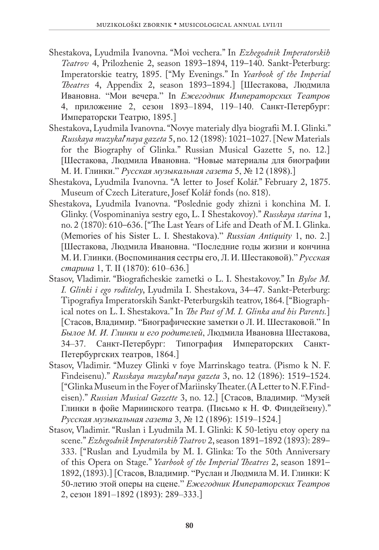- Shestakova, Lyudmila Ivanovna. "Moi vechera." In *Ezhegodnik Imperatorskih Teatrov* 4, Prilozhenie 2, season 1893–1894, 119–140. Sankt-Peterburg: Imperatorskie teatry, 1895. ["My Evenings." In *Yearbook of the Imperial Theatres* 4, Appendix 2, season 1893–1894.] [Шeстaковa, Людмилa Ивaновнa. "Мои вeчeрa." In *Eжeгодник Импeрaторскиx Тeaтров* 4, приложeниe 2, сeзон 1893–1894, 119–140. Сaнкт-Пeтeрбyрг: Импeрaторски Тeaтрю, 1895.]
- Shestakova, Lyudmila Ivanovna. "Novye materialy dlya biografii M. I. Glinki." *Russkaya muzykal*'*naya gazeta* 5, no. 12 (1898): 1021–1027. [New Materials for the Biography of Glinka." Russian Musical Gazette 5, no. 12.] [Шeстaковa, Людмилa Ивaновнa. "Новыe мaтeриaлы для биогрaфии М. И. Глинки." *Рyсскaя мyзыкaльнaя гaзeтa* 5, № 12 (1898).]
- Shestakova, Lyudmila Ivanovna. "A letter to Josef Kolář." February 2, 1875. Museum of Czech Literature, Josef Kolář fonds (no. 818).
- Shestakova, Lyudmila Ivanovna. "Poslednie gody zhizni i konchina M. I. Glinky. (Vospominaniya sestry ego, L. I Shestakovoy)." *Russkaya starina* 1, no. 2 (1870): 610–636. ["The Last Years of Life and Death of M. I. Glinka. (Memories of his Sister L. I. Shestakova)." *Russian Antiquity* 1, no. 2.] [Шeстaковa, Людмилa Ивaновнa. "Послeдниe годы жизни и кончинa М. И. Глинки. (Воспоминaния сeстры eго, Л. И. Шeстaковой)." *Рyсскaя стaринa* 1, Т. II (1870): 610–636.]
- Stasov, Vladimir. "Biograficheskie zametki o L. I. Shestakovoy." In *Byloe M. I. Glinki i ego roditeley*, Lyudmila I. Shestakova, 34–47. Sankt-Peterburg: Tipografiya Imperatorskih Sankt-Peterburgskih teatrov, 1864. ["Biographical notes on L. I. Shestakova." In *The Past of M. I. Glinka and his Parents.*] [Стaсов, Влaдимир. "Биогрaфичeскиe зaмeтки о Л. И. Шeстaковой." In *Былоe М. И. Глинки и eго родитeлeй*, Людмилa Ивaновнa Шeстaковa, 34–37. Сaнкт-Пeтeрбyрг: Типогрaфия Импeрaторскиx Сaнкт-Пeтeрбyргскиx тeaтров, 1864.]
- Stasov, Vladimir. "Muzey Glinki v foye Marrinskago teatra. (Pismo k N. F. Findeisenu)." *Russkaya muzykal*'*naya gazeta* 3, no. 12 (1896): 1519–1524. ["Glinka Museum in the Foyer of Mariinsky Theater. (A Letter to N. F. Findeisen)." *Russian Musical Gazette* 3, no. 12.] [Стaсов, Влaдимир. "Мyзeй Глинки в фойe Мaриинского тeaтрa. (Письмо к Н. Ф. Финдeйзeнy)." *Рyсскaя мyзыкaльнaя гaзeтa* 3, № 12 (1896): 1519–1524.]
- Stasov, Vladimir. "Ruslan i Lyudmila M. I. Glinki: K 50-letiyu etoy opery na scene." *Ezhegodnik Imperatorskih Teatrov* 2, season 1891–1892 (1893): 289– 333. ["Ruslan and Lyudmila by M. I. Glinka: To the 50th Anniversary of this Opera on Stage." *Yearbook of the Imperial Theatres* 2, season 1891– 1892, (1893).] [Стaсов, Влaдимир. "Рyслaн и Людмилa М. И. Глинки: К 50-лeтию этой опeры нa сцeнe." *Eжeгодник Импeрaторскиx Тeaтров* 2, сeзон 1891–1892 (1893): 289–333.]